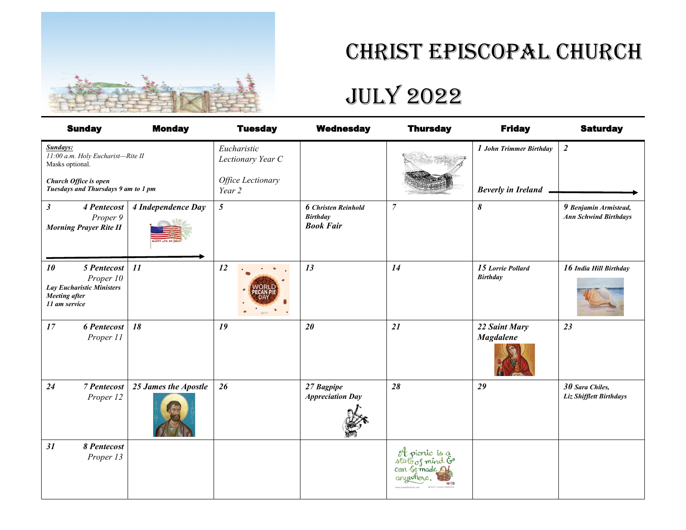

## Christ Episcopal Church

# July 2022

| <b>Sunday</b>                                                                                                                    | <b>Monday</b>        | <b>Tuesday</b>                                                  | <b>Wednesday</b>                                                  | <b>Thursday</b>                                                         | <b>Friday</b>                                        | <b>Saturday</b>                                       |
|----------------------------------------------------------------------------------------------------------------------------------|----------------------|-----------------------------------------------------------------|-------------------------------------------------------------------|-------------------------------------------------------------------------|------------------------------------------------------|-------------------------------------------------------|
| Sundays:<br>11:00 a.m. Holy Eucharist-Rite II<br>Masks optional.<br>Church Office is open<br>Tuesdays and Thursdays 9 am to 1 pm |                      | Eucharistic<br>Lectionary Year C<br>Office Lectionary<br>Year 2 |                                                                   |                                                                         | 1 John Trimmer Birthday<br><b>Beverly in Ireland</b> | $\overline{2}$                                        |
| $\boldsymbol{\beta}$<br>4 Pentecost<br>Proper 9<br><b>Morning Prayer Rite II</b>                                                 | 4 Independence Day   | $\mathfrak{H}$                                                  | <b>6</b> Christen Reinhold<br><b>Birthday</b><br><b>Book Fair</b> | $\overline{7}$                                                          | 8                                                    | 9 Benjamin Armistead,<br><b>Ann Schwind Birthdays</b> |
| 5 Pentecost<br>10<br>Proper 10<br><b>Lay Eucharistic Ministers</b><br><b>Meeting</b> after<br>11 am service                      | 11                   | 12                                                              | 13                                                                | 14                                                                      | 15 Lorrie Pollard<br><b>Birthday</b>                 | 16 India Hill Birthday                                |
| 17<br><b>6 Pentecost</b><br>Proper 11                                                                                            | 18                   | 19                                                              | 20                                                                | 21                                                                      | 22 Saint Mary<br><b>Magdalene</b>                    | 23                                                    |
| 24<br><b>7</b> Pentecost<br>Proper 12                                                                                            | 25 James the Apostle | 26                                                              | 27 Bagpipe<br><b>Appreciation Day</b>                             | 28                                                                      | 29                                                   | 30 Sara Chiles,<br>Liz Shifflett Birthdays            |
| 31<br>8 Pentecost<br>Proper 13                                                                                                   |                      |                                                                 |                                                                   | A picnic is a<br>state of mind G<br>can be made <b>A</b> f<br>anywhere. |                                                      |                                                       |